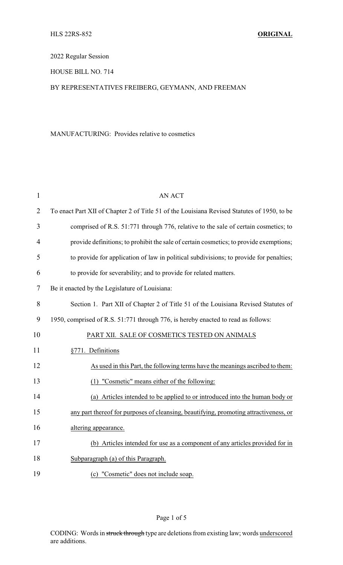2022 Regular Session

HOUSE BILL NO. 714

## BY REPRESENTATIVES FREIBERG, GEYMANN, AND FREEMAN

## MANUFACTURING: Provides relative to cosmetics

| $\mathbf{1}$   | <b>AN ACT</b>                                                                               |
|----------------|---------------------------------------------------------------------------------------------|
| $\overline{2}$ | To enact Part XII of Chapter 2 of Title 51 of the Louisiana Revised Statutes of 1950, to be |
| 3              | comprised of R.S. 51:771 through 776, relative to the sale of certain cosmetics; to         |
| $\overline{4}$ | provide definitions; to prohibit the sale of certain cosmetics; to provide exemptions;      |
| 5              | to provide for application of law in political subdivisions; to provide for penalties;      |
| 6              | to provide for severability; and to provide for related matters.                            |
| 7              | Be it enacted by the Legislature of Louisiana:                                              |
| 8              | Section 1. Part XII of Chapter 2 of Title 51 of the Louisiana Revised Statutes of           |
| 9              | 1950, comprised of R.S. 51:771 through 776, is hereby enacted to read as follows:           |
| 10             | PART XII. SALE OF COSMETICS TESTED ON ANIMALS                                               |
| 11             | §771. Definitions                                                                           |
| 12             | As used in this Part, the following terms have the meanings ascribed to them:               |
| 13             | (1) "Cosmetic" means either of the following:                                               |
| 14             | (a) Articles intended to be applied to or introduced into the human body or                 |
| 15             | any part thereof for purposes of cleansing, beautifying, promoting attractiveness, or       |
| 16             | altering appearance.                                                                        |
| 17             | (b) Articles intended for use as a component of any articles provided for in                |
| 18             | Subparagraph (a) of this Paragraph.                                                         |
| 19             | (c) "Cosmetic" does not include soap.                                                       |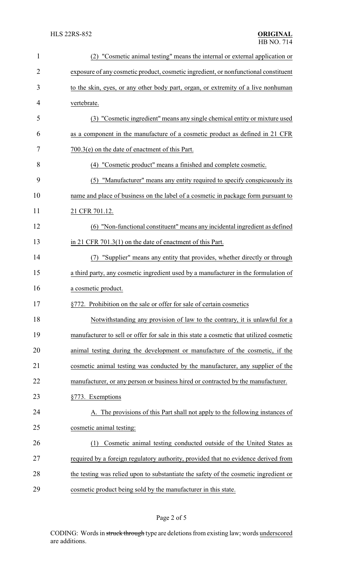| $\mathbf{1}$   | (2) "Cosmetic animal testing" means the internal or external application or            |  |  |
|----------------|----------------------------------------------------------------------------------------|--|--|
| $\overline{2}$ | exposure of any cosmetic product, cosmetic ingredient, or nonfunctional constituent    |  |  |
| 3              | to the skin, eyes, or any other body part, organ, or extremity of a live nonhuman      |  |  |
| 4              | vertebrate.                                                                            |  |  |
| 5              | (3) "Cosmetic ingredient" means any single chemical entity or mixture used             |  |  |
| 6              | as a component in the manufacture of a cosmetic product as defined in 21 CFR           |  |  |
| 7              | $700.3(e)$ on the date of enactment of this Part.                                      |  |  |
| 8              | (4) "Cosmetic product" means a finished and complete cosmetic.                         |  |  |
| 9              | "Manufacturer" means any entity required to specify conspicuously its<br>(5)           |  |  |
| 10             | name and place of business on the label of a cosmetic in package form pursuant to      |  |  |
| 11             | 21 CFR 701.12.                                                                         |  |  |
| 12             | (6) "Non-functional constituent" means any incidental ingredient as defined            |  |  |
| 13             | in 21 CFR 701.3(1) on the date of enactment of this Part.                              |  |  |
| 14             | "Supplier" means any entity that provides, whether directly or through                 |  |  |
| 15             | a third party, any cosmetic ingredient used by a manufacturer in the formulation of    |  |  |
| 16             | a cosmetic product.                                                                    |  |  |
| 17             | §772. Prohibition on the sale or offer for sale of certain cosmetics                   |  |  |
| 18             | Notwithstanding any provision of law to the contrary, it is unlawful for a             |  |  |
| 19             | manufacturer to sell or offer for sale in this state a cosmetic that utilized cosmetic |  |  |
| 20             | animal testing during the development or manufacture of the cosmetic, if the           |  |  |
| 21             | cosmetic animal testing was conducted by the manufacturer, any supplier of the         |  |  |
| 22             | manufacturer, or any person or business hired or contracted by the manufacturer.       |  |  |
| 23             | §773. Exemptions                                                                       |  |  |
| 24             | A. The provisions of this Part shall not apply to the following instances of           |  |  |
| 25             | cosmetic animal testing:                                                               |  |  |
| 26             | Cosmetic animal testing conducted outside of the United States as<br>(1)               |  |  |
| 27             | required by a foreign regulatory authority, provided that no evidence derived from     |  |  |
| 28             | the testing was relied upon to substantiate the safety of the cosmetic ingredient or   |  |  |
| 29             | cosmetic product being sold by the manufacturer in this state.                         |  |  |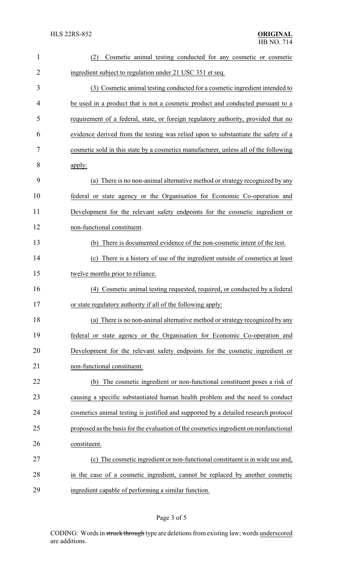| $\mathbf{1}$ | Cosmetic animal testing conducted for any cosmetic or cosmetic<br>(2)                 |  |  |
|--------------|---------------------------------------------------------------------------------------|--|--|
| 2            | ingredient subject to regulation under 21 USC 351 et seq.                             |  |  |
| 3            | (3) Cosmetic animal testing conducted for a cosmetic ingredient intended to           |  |  |
| 4            | be used in a product that is not a cosmetic product and conducted pursuant to a       |  |  |
| 5            | requirement of a federal, state, or foreign regulatory authority, provided that no    |  |  |
| 6            | evidence derived from the testing was relied upon to substantiate the safety of a     |  |  |
| 7            | cosmetic sold in this state by a cosmetics manufacturer, unless all of the following  |  |  |
| 8            | apply:                                                                                |  |  |
| 9            | (a) There is no non-animal alternative method or strategy recognized by any           |  |  |
| 10           | federal or state agency or the Organisation for Economic Co-operation and             |  |  |
| 11           | Development for the relevant safety endpoints for the cosmetic ingredient or          |  |  |
| 12           | non-functional constituent.                                                           |  |  |
| 13           | (b) There is documented evidence of the non-cosmetic intent of the test.              |  |  |
| 14           | (c) There is a history of use of the ingredient outside of cosmetics at least         |  |  |
| 15           | twelve months prior to reliance.                                                      |  |  |
| 16           | Cosmetic animal testing requested, required, or conducted by a federal<br>(4)         |  |  |
| 17           | or state regulatory authority if all of the following apply:                          |  |  |
| 18           | (a) There is no non-animal alternative method or strategy recognized by any           |  |  |
| 19           | federal or state agency or the Organisation for Economic Co-operation and             |  |  |
| 20           | Development for the relevant safety endpoints for the cosmetic ingredient or          |  |  |
| 21           | non-functional constituent.                                                           |  |  |
| 22           | The cosmetic ingredient or non-functional constituent poses a risk of<br>(b)          |  |  |
| 23           | causing a specific substantiated human health problem and the need to conduct         |  |  |
| 24           | cosmetics animal testing is justified and supported by a detailed research protocol   |  |  |
| 25           | proposed as the basis for the evaluation of the cosmetics ingredient on nonfunctional |  |  |
| 26           | constituent.                                                                          |  |  |
| 27           | (c) The cosmetic ingredient or non-functional constituent is in wide use and,         |  |  |
| 28           | in the case of a cosmetic ingredient, cannot be replaced by another cosmetic          |  |  |
| 29           | ingredient capable of performing a similar function.                                  |  |  |

## Page 3 of 5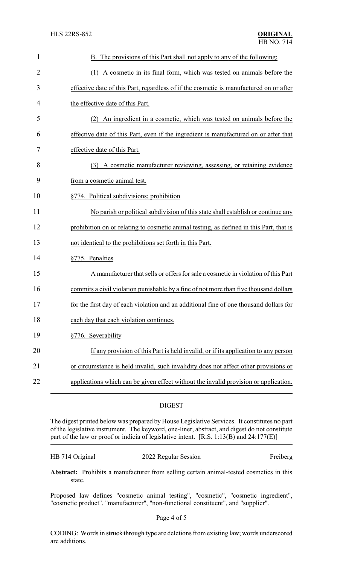| $\mathbf{1}$   | B. The provisions of this Part shall not apply to any of the following:                 |
|----------------|-----------------------------------------------------------------------------------------|
| $\overline{2}$ | (1) A cosmetic in its final form, which was tested on animals before the                |
| 3              | effective date of this Part, regardless of if the cosmetic is manufactured on or after  |
| 4              | the effective date of this Part.                                                        |
| 5              | An ingredient in a cosmetic, which was tested on animals before the<br>(2)              |
| 6              | effective date of this Part, even if the ingredient is manufactured on or after that    |
| 7              | effective date of this Part.                                                            |
| 8              | (3) A cosmetic manufacturer reviewing, assessing, or retaining evidence                 |
| 9              | from a cosmetic animal test.                                                            |
| 10             | §774. Political subdivisions; prohibition                                               |
| 11             | No parish or political subdivision of this state shall establish or continue any        |
| 12             | prohibition on or relating to cosmetic animal testing, as defined in this Part, that is |
| 13             | not identical to the prohibitions set forth in this Part.                               |
| 14             | §775. Penalties                                                                         |
| 15             | A manufacturer that sells or offers for sale a cosmetic in violation of this Part       |
| 16             | commits a civil violation punishable by a fine of not more than five thousand dollars   |
| 17             | for the first day of each violation and an additional fine of one thousand dollars for  |
| 18             | each day that each violation continues.                                                 |
| 19             | §776. Severability                                                                      |
| 20             | If any provision of this Part is held invalid, or if its application to any person      |
| 21             | or circumstance is held invalid, such invalidity does not affect other provisions or    |
| 22             | applications which can be given effect without the invalid provision or application.    |

## DIGEST

The digest printed below was prepared by House Legislative Services. It constitutes no part of the legislative instrument. The keyword, one-liner, abstract, and digest do not constitute part of the law or proof or indicia of legislative intent. [R.S. 1:13(B) and 24:177(E)]

| HB 714 Original | 2022 Regular Session | Freiberg |
|-----------------|----------------------|----------|
|-----------------|----------------------|----------|

**Abstract:** Prohibits a manufacturer from selling certain animal-tested cosmetics in this state.

Proposed law defines "cosmetic animal testing", "cosmetic", "cosmetic ingredient", "cosmetic product", "manufacturer", "non-functional constituent", and "supplier".